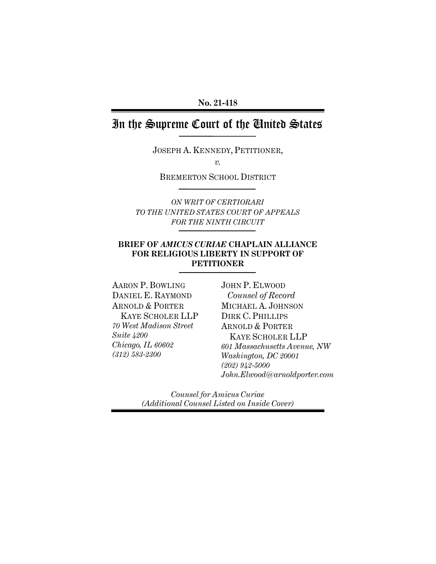# In the Supreme Court of the United States

JOSEPH A. KENNEDY, PETITIONER,

*v.*

BREMERTON SCHOOL DISTRICT

*ON WRIT OF CERTIORARI TO THE UNITED STATES COURT OF APPEALS FOR THE NINTH CIRCUIT*

# **BRIEF OF** *AMICUS CURIAE* **CHAPLAIN ALLIANCE FOR RELIGIOUS LIBERTY IN SUPPORT OF PETITIONER**

AARON P. BOWLING DANIEL E. RAYMOND ARNOLD & PORTER KAYE SCHOLER LLP *70 West Madison Street Suite 4200 Chicago, IL 60602 (312) 583-2300*

JOHN P. ELWOOD  *Counsel of Record* MICHAEL A. JOHNSON DIRK C. PHILLIPS ARNOLD & PORTER KAYE SCHOLER LLP *601 Massachusetts Avenue, NW Washington, DC 20001 (202) 942-5000 John.Elwood@arnoldporter.com*

*Counsel for Amicus Curiae (Additional Counsel Listed on Inside Cover)*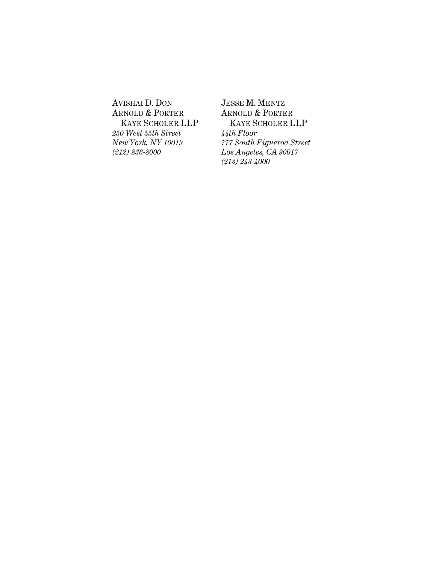AVISHAI D. DON ARNOLD & PORTER KAYE SCHOLER LLP *250 West 55th Street New York, NY 10019 (212) 836-8000*

JESSE M. MENTZ ARNOLD & PORTER KAYE SCHOLER LLP *44th Floor 777 South Figueroa Street Los Angeles, CA 90017 (213) 243-4000*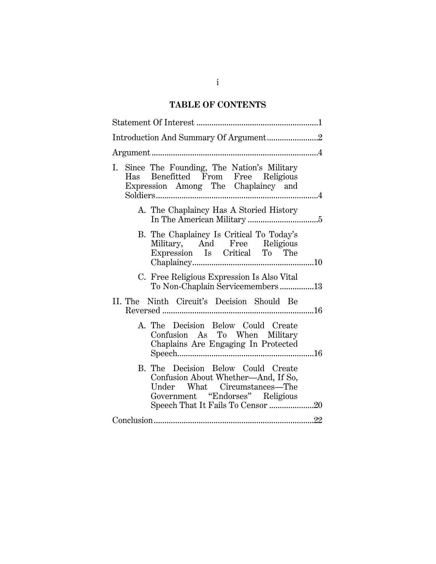# **TABLE OF CONTENTS**

| Introduction And Summary Of Argument2                                                                                                                                             |
|-----------------------------------------------------------------------------------------------------------------------------------------------------------------------------------|
|                                                                                                                                                                                   |
| Since The Founding, The Nation's Military<br>Ι.<br>Has Benefitted From Free Religious<br>Expression Among The Chaplaincy and                                                      |
| A. The Chaplaincy Has A Storied History                                                                                                                                           |
| B. The Chaplaincy Is Critical To Today's<br>Military, And Free Religious<br>Expression Is Critical To The                                                                         |
| C. Free Religious Expression Is Also Vital<br>To Non-Chaplain Servicemembers13                                                                                                    |
| II. The Ninth Circuit's Decision Should Be                                                                                                                                        |
| A. The Decision Below Could Create<br>Confusion As To When Military<br>Chaplains Are Engaging In Protected                                                                        |
| B. The Decision Below Could Create<br>Confusion About Whether-And, If So,<br>Under What Circumstances—The<br>Government "Endorses" Religious<br>Speech That It Fails To Censor 20 |
|                                                                                                                                                                                   |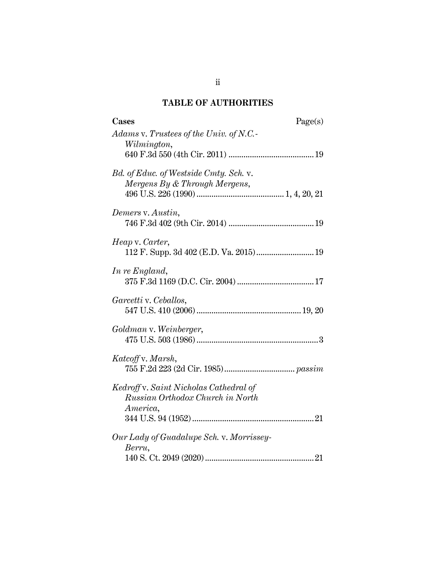# **TABLE OF AUTHORITIES**

| Cases<br>Page(s)                         |
|------------------------------------------|
| Adams v. Trustees of the Univ. of N.C.   |
| Wilmington,                              |
|                                          |
| Bd. of Educ. of Westside Cmty. Sch. v.   |
| Mergens By & Through Mergens,            |
|                                          |
|                                          |
| Demers v. Austin,                        |
|                                          |
| Heap v. Carter,                          |
|                                          |
|                                          |
| In re England,                           |
|                                          |
| Garcetti v. Ceballos,                    |
|                                          |
|                                          |
| Goldman v. Weinberger,                   |
|                                          |
| Katcoff v. Marsh,                        |
|                                          |
|                                          |
| Kedroff v. Saint Nicholas Cathedral of   |
| Russian Orthodox Church in North         |
| America,                                 |
|                                          |
| Our Lady of Guadalupe Sch. v. Morrissey- |
| Berru,                                   |
|                                          |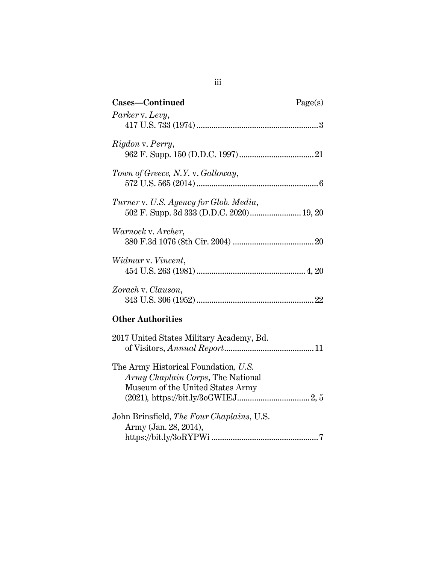| Cases-Continued                                                                    | Page(s) |
|------------------------------------------------------------------------------------|---------|
| Parker v. Levy,                                                                    |         |
| Rigdon v. Perry,                                                                   |         |
| Town of Greece, N.Y. v. Galloway,                                                  |         |
| Turner v. U.S. Agency for Glob. Media,<br>502 F. Supp. 3d 333 (D.D.C. 2020) 19, 20 |         |
| Warnock v. Archer,                                                                 |         |
| Widmar v. Vincent,                                                                 |         |
| Zorach v. Clauson,                                                                 |         |
| <b>Other Authorities</b>                                                           |         |
| 2017 United States Military Academy, Bd.                                           |         |
|                                                                                    |         |

| The Army Historical Foundation, U.S.      |  |
|-------------------------------------------|--|
| <i>Army Chaplain Corps</i> , The National |  |
| Museum of the United States Army          |  |
|                                           |  |
| John Brinsfield, The Four Chaplains, U.S. |  |

| John Brinstield, <i>The Four Chaplains</i> , U.S. |  |
|---------------------------------------------------|--|
| Army (Jan. 28, 2014),                             |  |
|                                                   |  |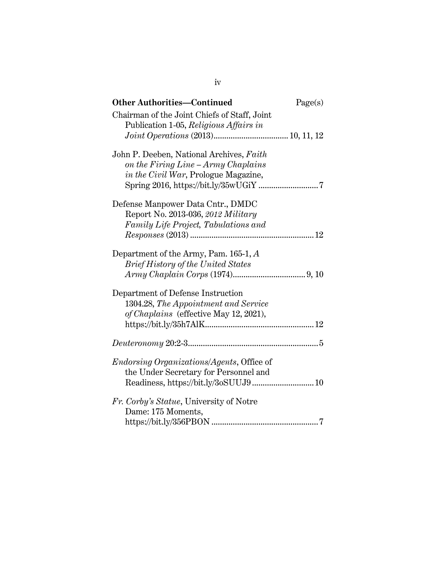| <b>Other Authorities—Continued</b>                                                     | Page(s) |
|----------------------------------------------------------------------------------------|---------|
| Chairman of the Joint Chiefs of Staff, Joint<br>Publication 1-05, Religious Affairs in |         |
|                                                                                        |         |
| John P. Deeben, National Archives, Faith                                               |         |
| on the Firing Line - Army Chaplains                                                    |         |
| in the Civil War, Prologue Magazine,                                                   |         |
|                                                                                        |         |
| Defense Manpower Data Cntr., DMDC                                                      |         |
| Report No. 2013-036, 2012 Military                                                     |         |
| Family Life Project, Tabulations and                                                   |         |
|                                                                                        |         |
| Department of the Army, Pam. 165-1, A                                                  |         |
| <b>Brief History of the United States</b>                                              |         |
|                                                                                        |         |
| Department of Defense Instruction                                                      |         |
| 1304.28, The Appointment and Service                                                   |         |
| of Chaplains (effective May 12, 2021),                                                 |         |
|                                                                                        |         |
|                                                                                        |         |
|                                                                                        |         |
| <i>Endorsing Organizations/Agents, Office of</i>                                       |         |
| the Under Secretary for Personnel and                                                  |         |
| Readiness, https://bit.ly/3oSUUJ9 10                                                   |         |
| Fr. Corby's Statue, University of Notre                                                |         |
| Dame: 175 Moments,                                                                     |         |
|                                                                                        |         |

iv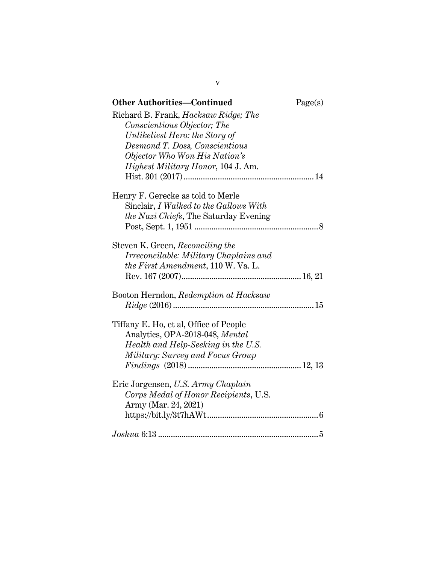| <b>Other Authorities-Continued</b>                            | Page(s) |
|---------------------------------------------------------------|---------|
| Richard B. Frank, <i>Hacksaw Ridge</i> ; The                  |         |
| Conscientious Objector; The<br>Unlikeliest Hero: the Story of |         |
| Desmond T. Doss, Conscientious                                |         |
| Objector Who Won His Nation's                                 |         |
| <i>Highest Military Honor</i> , 104 J. Am.                    |         |
|                                                               |         |
| Henry F. Gerecke as told to Merle                             |         |
| Sinclair, I Walked to the Gallows With                        |         |
| <i>the Nazi Chiefs</i> , The Saturday Evening                 |         |
|                                                               |         |
| Steven K. Green, Reconciling the                              |         |
| Irreconcilable: Military Chaplains and                        |         |
| the First Amendment, 110 W. Va. L.                            |         |
|                                                               |         |
| Booton Herndon, Redemption at Hacksaw                         |         |
|                                                               |         |
| Tiffany E. Ho, et al, Office of People                        |         |
| Analytics, OPA-2018-048, Mental                               |         |
| Health and Help-Seeking in the U.S.                           |         |
| Military: Survey and Focus Group                              |         |
|                                                               |         |
| Eric Jorgensen, U.S. Army Chaplain                            |         |
| Corps Medal of Honor Recipients, U.S.                         |         |
| Army (Mar. 24, 2021)                                          |         |
|                                                               |         |
|                                                               |         |

v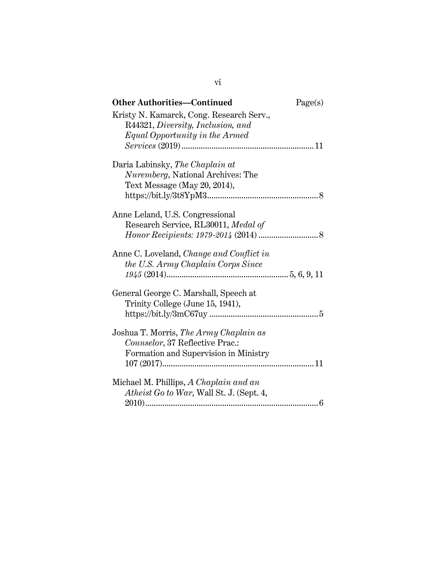| <b>Other Authorities-Continued</b>              | Page(s) |
|-------------------------------------------------|---------|
| Kristy N. Kamarck, Cong. Research Serv.,        |         |
| R44321, Diversity, Inclusion, and               |         |
| Equal Opportunity in the Armed                  |         |
|                                                 |         |
| Daria Labinsky, The Chaplain at                 |         |
| Nuremberg, National Archives: The               |         |
| Text Message (May 20, 2014),                    |         |
|                                                 |         |
| Anne Leland, U.S. Congressional                 |         |
| Research Service, RL30011, Medal of             |         |
|                                                 |         |
|                                                 |         |
| Anne C. Loveland, <i>Change and Conflict in</i> |         |
| the U.S. Army Chaplain Corps Since              |         |
|                                                 |         |
| General George C. Marshall, Speech at           |         |
| Trinity College (June 15, 1941),                |         |
|                                                 |         |
|                                                 |         |
| Joshua T. Morris, The Army Chaplain as          |         |
| Counselor, 37 Reflective Prac.:                 |         |
| Formation and Supervision in Ministry           |         |
|                                                 |         |
|                                                 |         |
| Michael M. Phillips, A Chaplain and an          |         |
| Atheist Go to War, Wall St. J. (Sept. 4,        |         |
|                                                 |         |

vi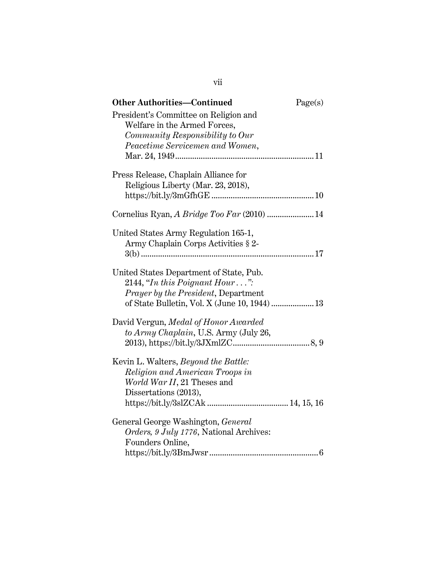| <b>Other Authorities-Continued</b>            | Page(s) |
|-----------------------------------------------|---------|
| President's Committee on Religion and         |         |
| Welfare in the Armed Forces,                  |         |
| Community Responsibility to Our               |         |
| Peacetime Servicemen and Women,               |         |
|                                               |         |
| Press Release, Chaplain Alliance for          |         |
| Religious Liberty (Mar. 23, 2018),            |         |
|                                               |         |
|                                               |         |
| Cornelius Ryan, A Bridge Too Far (2010)  14   |         |
| United States Army Regulation 165-1,          |         |
| Army Chaplain Corps Activities § 2-           |         |
|                                               |         |
| United States Department of State, Pub.       |         |
| 2144, "In this Poignant Hour":                |         |
| <i>Prayer by the President, Department</i>    |         |
| of State Bulletin, Vol. X (June 10, 1944)  13 |         |
| David Vergun, Medal of Honor Awarded          |         |
| to Army Chaplain, U.S. Army (July 26,         |         |
|                                               |         |
| Kevin L. Walters, <i>Beyond the Battle</i> :  |         |
| Religion and American Troops in               |         |
| World War II, 21 Theses and                   |         |
| Dissertations (2013),                         |         |
|                                               |         |
| General George Washington, General            |         |
| Orders, 9 July 1776, National Archives:       |         |
| Founders Online,                              |         |
|                                               |         |

vii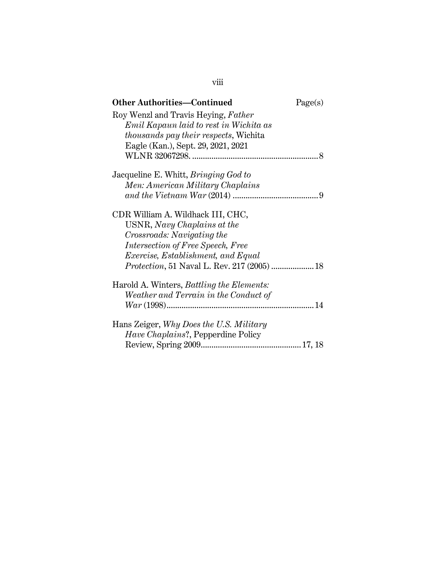| <b>Other Authorities—Continued</b>               | Page(s) |
|--------------------------------------------------|---------|
| Roy Wenzl and Travis Heying, Father              |         |
| Emil Kapaun laid to rest in Wichita as           |         |
| <i>thousands pay their respects,</i> Wichita     |         |
| Eagle (Kan.), Sept. 29, 2021, 2021               |         |
|                                                  |         |
| Jacqueline E. Whitt, <i>Bringing God to</i>      |         |
| Men: American Military Chaplains                 |         |
|                                                  |         |
| CDR William A. Wildhack III, CHC,                |         |
| USNR, Navy Chaplains at the                      |         |
| Crossroads: Navigating the                       |         |
| Intersection of Free Speech, Free                |         |
| <i>Exercise, Establishment, and Equal</i>        |         |
|                                                  |         |
| Harold A. Winters, <i>Battling the Elements:</i> |         |
| Weather and Terrain in the Conduct of            |         |
| $War (1998) \dots 14$                            |         |
| Hans Zeiger, Why Does the U.S. Military          |         |
| Have Chaplains?, Pepperdine Policy               |         |
|                                                  |         |

viii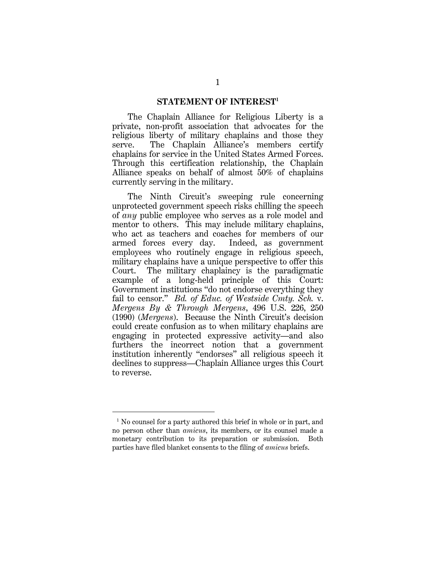#### **STATEMENT OF INTEREST<sup>1</sup>**

The Chaplain Alliance for Religious Liberty is a private, non-profit association that advocates for the religious liberty of military chaplains and those they serve. The Chaplain Alliance's members certify chaplains for service in the United States Armed Forces. Through this certification relationship, the Chaplain Alliance speaks on behalf of almost 50% of chaplains currently serving in the military.

The Ninth Circuit's sweeping rule concerning unprotected government speech risks chilling the speech of *any* public employee who serves as a role model and mentor to others. This may include military chaplains, who act as teachers and coaches for members of our armed forces every day. Indeed, as government employees who routinely engage in religious speech, military chaplains have a unique perspective to offer this Court. The military chaplaincy is the paradigmatic example of a long-held principle of this Court: Government institutions "do not endorse everything they fail to censor." *Bd. of Educ. of Westside Cmty. Sch.* v. *Mergens By & Through Mergens*, 496 U.S. 226, 250 (1990) (*Mergens*). Because the Ninth Circuit's decision could create confusion as to when military chaplains are engaging in protected expressive activity—and also furthers the incorrect notion that a government institution inherently "endorses" all religious speech it declines to suppress—Chaplain Alliance urges this Court to reverse.

<sup>&</sup>lt;sup>1</sup> No counsel for a party authored this brief in whole or in part, and no person other than *amicus*, its members, or its counsel made a monetary contribution to its preparation or submission. Both parties have filed blanket consents to the filing of *amicus* briefs.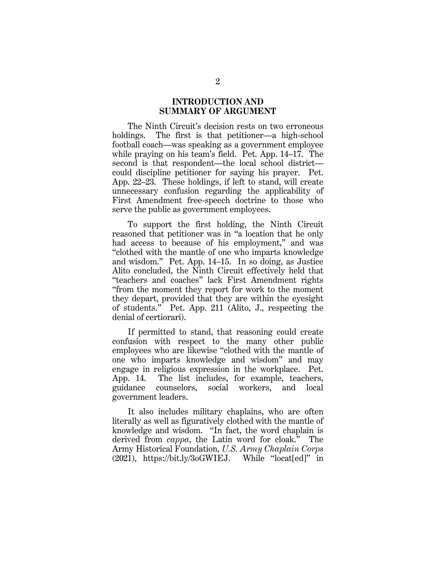# **INTRODUCTION AND SUMMARY OF ARGUMENT**

The Ninth Circuit's decision rests on two erroneous holdings. The first is that petitioner—a high-school football coach—was speaking as a government employee while praying on his team's field. Pet. App. 14–17. The second is that respondent—the local school district could discipline petitioner for saying his prayer. Pet. App. 22–23. These holdings, if left to stand, will create unnecessary confusion regarding the applicability of First Amendment free-speech doctrine to those who serve the public as government employees.

To support the first holding, the Ninth Circuit reasoned that petitioner was in "a location that he only had access to because of his employment," and was "clothed with the mantle of one who imparts knowledge and wisdom." Pet. App. 14–15. In so doing, as Justice Alito concluded, the Ninth Circuit effectively held that "teachers and coaches" lack First Amendment rights "from the moment they report for work to the moment they depart, provided that they are within the eyesight of students." Pet. App. 211 (Alito, J., respecting the denial of certiorari).

If permitted to stand, that reasoning could create confusion with respect to the many other public employees who are likewise "clothed with the mantle of one who imparts knowledge and wisdom" and may engage in religious expression in the workplace. Pet. App. 14. The list includes, for example, teachers, guidance counselors, social workers, and local government leaders.

It also includes military chaplains, who are often literally as well as figuratively clothed with the mantle of knowledge and wisdom. "In fact, the word chaplain is derived from *cappa*, the Latin word for cloak." The Army Historical Foundation, *U.S. Army Chaplain Corps* (2021), https://bit.ly/3oGWIEJ. While "locat[ed]" in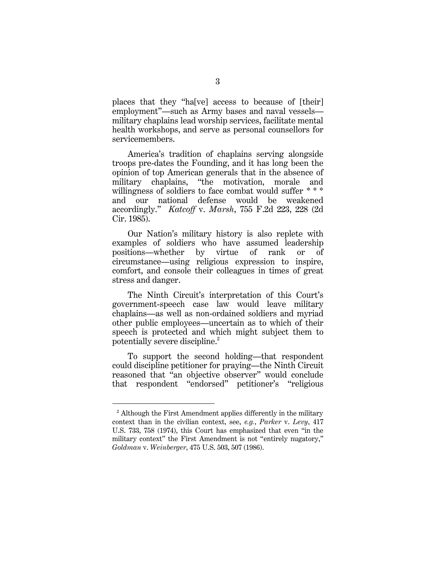places that they "ha[ve] access to because of [their] employment"—such as Army bases and naval vessels military chaplains lead worship services, facilitate mental health workshops, and serve as personal counsellors for servicemembers.

America's tradition of chaplains serving alongside troops pre-dates the Founding, and it has long been the opinion of top American generals that in the absence of military chaplains, "the motivation, morale and willingness of soldiers to face combat would suffer \* \* \* and our national defense would be weakened accordingly." *Katcoff* v. *Marsh*, 755 F.2d 223, 228 (2d Cir. 1985).

Our Nation's military history is also replete with examples of soldiers who have assumed leadership positions—whether by virtue of rank or of circumstance—using religious expression to inspire, comfort, and console their colleagues in times of great stress and danger.

The Ninth Circuit's interpretation of this Court's government-speech case law would leave military chaplains—as well as non-ordained soldiers and myriad other public employees—uncertain as to which of their speech is protected and which might subject them to potentially severe discipline. 2

To support the second holding—that respondent could discipline petitioner for praying—the Ninth Circuit reasoned that "an objective observer" would conclude that respondent "endorsed" petitioner's "religious

<sup>&</sup>lt;sup>2</sup> Although the First Amendment applies differently in the military context than in the civilian context, see, *e.g.*, *Parker* v. *Levy*, 417 U.S. 733, 758 (1974), this Court has emphasized that even "in the military context" the First Amendment is not "entirely nugatory," *Goldman* v. *Weinberger*, 475 U.S. 503, 507 (1986).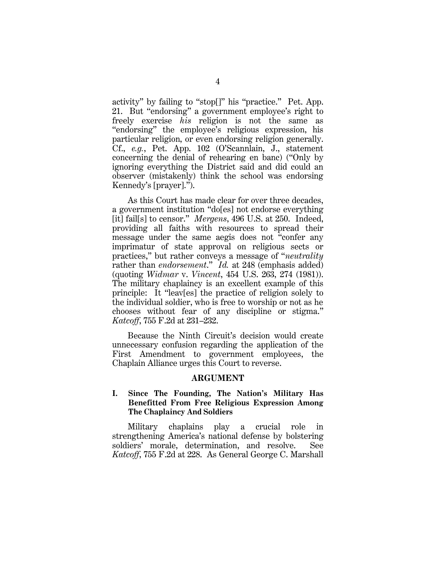activity" by failing to "stop[]" his "practice." Pet. App. 21. But "endorsing" a government employee's right to freely exercise *his* religion is not the same as "endorsing" the employee's religious expression, his particular religion, or even endorsing religion generally. Cf., *e.g.*, Pet. App. 102 (O'Scannlain, J., statement concerning the denial of rehearing en banc) ("Only by ignoring everything the District said and did could an observer (mistakenly) think the school was endorsing Kennedy's [prayer].").

As this Court has made clear for over three decades, a government institution "do[es] not endorse everything [it] fail[s] to censor." *Mergens*, 496 U.S. at 250. Indeed, providing all faiths with resources to spread their message under the same aegis does not "confer any imprimatur of state approval on religious sects or practices," but rather conveys a message of "*neutrality* rather than *endorsement*." *Id.* at 248 (emphasis added) (quoting *Widmar* v. *Vincent*, 454 U.S. 263, 274 (1981)). The military chaplaincy is an excellent example of this principle: It "leav[es] the practice of religion solely to the individual soldier, who is free to worship or not as he chooses without fear of any discipline or stigma." *Katcoff*, 755 F.2d at 231–232.

Because the Ninth Circuit's decision would create unnecessary confusion regarding the application of the First Amendment to government employees, the Chaplain Alliance urges this Court to reverse.

### **ARGUMENT**

### **I. Since The Founding, The Nation's Military Has Benefitted From Free Religious Expression Among The Chaplaincy And Soldiers**

Military chaplains play a crucial role in strengthening America's national defense by bolstering soldiers' morale, determination, and resolve. See *Katcoff*, 755 F.2d at 228. As General George C. Marshall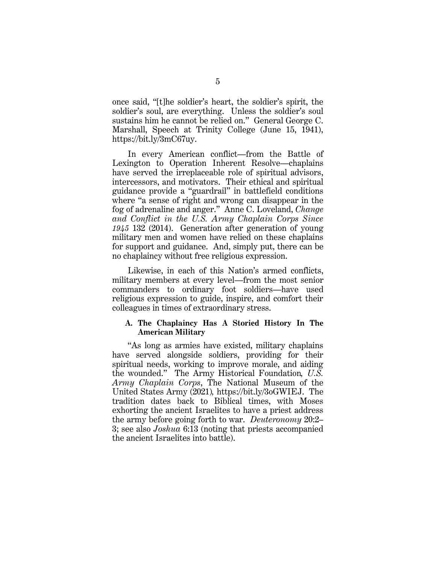once said, "[t]he soldier's heart, the soldier's spirit, the soldier's soul, are everything. Unless the soldier's soul sustains him he cannot be relied on." General George C. Marshall, Speech at Trinity College (June 15, 1941), https://bit.ly/3mC67uy.

In every American conflict—from the Battle of Lexington to Operation Inherent Resolve—chaplains have served the irreplaceable role of spiritual advisors, intercessors, and motivators. Their ethical and spiritual guidance provide a "guardrail" in battlefield conditions where "a sense of right and wrong can disappear in the fog of adrenaline and anger." Anne C. Loveland, *Change and Conflict in the U.S. Army Chaplain Corps Since 1945* 132 (2014). Generation after generation of young military men and women have relied on these chaplains for support and guidance. And, simply put, there can be no chaplaincy without free religious expression.

Likewise, in each of this Nation's armed conflicts, military members at every level—from the most senior commanders to ordinary foot soldiers—have used religious expression to guide, inspire, and comfort their colleagues in times of extraordinary stress.

#### **A. The Chaplaincy Has A Storied History In The American Military**

"As long as armies have existed, military chaplains have served alongside soldiers, providing for their spiritual needs, working to improve morale, and aiding the wounded." The Army Historical Foundation*, U.S. Army Chaplain Corps*, The National Museum of the United States Army (2021)*,* https://bit.ly/3oGWIEJ. The tradition dates back to Biblical times, with Moses exhorting the ancient Israelites to have a priest address the army before going forth to war. *Deuteronomy* 20:2– 3; see also *Joshua* 6:13 (noting that priests accompanied the ancient Israelites into battle).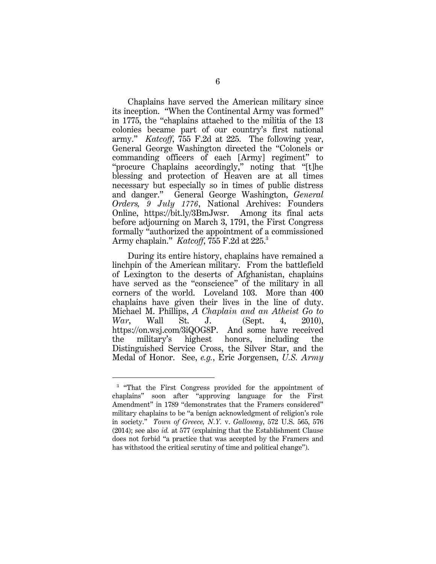Chaplains have served the American military since its inception. "When the Continental Army was formed" in 1775, the "chaplains attached to the militia of the 13 colonies became part of our country's first national army." *Katcoff*, 755 F.2d at 225. The following year, General George Washington directed the "Colonels or commanding officers of each [Army] regiment" to "procure Chaplains accordingly," noting that "[t]he blessing and protection of Heaven are at all times necessary but especially so in times of public distress and danger." General George Washington, *General Orders, 9 July 1776*, National Archives: Founders Online, https://bit.ly/3BmJwsr. Among its final acts before adjourning on March 3, 1791, the First Congress formally "authorized the appointment of a commissioned Army chaplain." *Katcoff*, 755 F.2d at 225.<sup>3</sup>

During its entire history, chaplains have remained a linchpin of the American military. From the battlefield of Lexington to the deserts of Afghanistan, chaplains have served as the "conscience" of the military in all corners of the world. Loveland 103. More than 400 chaplains have given their lives in the line of duty. Michael M. Phillips, *A Chaplain and an Atheist Go to War*, Wall St. J. (Sept. 4, 2010), https://on.wsj.com/3iQOG8P. And some have received the military's highest honors, including the Distinguished Service Cross, the Silver Star, and the Medal of Honor. See, *e.g.*, Eric Jorgensen, *U.S. Army* 

<sup>&</sup>lt;sup>3</sup> "That the First Congress provided for the appointment of chaplains" soon after "approving language for the First Amendment" in 1789 "demonstrates that the Framers considered" military chaplains to be "a benign acknowledgment of religion's role in society." *Town of Greece, N.Y.* v. *Galloway*, 572 U.S. 565, 576 (2014); see also *id.* at 577 (explaining that the Establishment Clause does not forbid "a practice that was accepted by the Framers and has withstood the critical scrutiny of time and political change").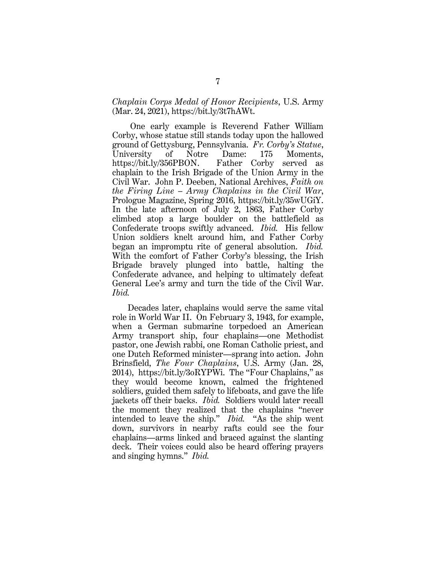# *Chaplain Corps Medal of Honor Recipients*, U.S. Army (Mar. 24, 2021), https://bit.ly/3t7hAWt.

One early example is Reverend Father William Corby, whose statue still stands today upon the hallowed ground of Gettysburg, Pennsylvania. *Fr. Corby's Statue*, University of Notre Dame: 175 Moments, [https://bit.ly/356PBON.](https://bit.ly/356PBON) Father Corby served as chaplain to the Irish Brigade of the Union Army in the Civil War. John P. Deeben, National Archives, *Faith on the Firing Line – Army Chaplains in the Civil War*, Prologue Magazine, Spring 2016, https://bit.ly/35wUGiY. In the late afternoon of July 2, 1863, Father Corby climbed atop a large boulder on the battlefield as Confederate troops swiftly advanced. *Ibid.* His fellow Union soldiers knelt around him, and Father Corby began an impromptu rite of general absolution. *Ibid.* With the comfort of Father Corby's blessing, the Irish Brigade bravely plunged into battle, halting the Confederate advance, and helping to ultimately defeat General Lee's army and turn the tide of the Civil War. *Ibid.*

Decades later, chaplains would serve the same vital role in World War II. On February 3, 1943, for example, when a German submarine torpedoed an American Army transport ship, four chaplains—one Methodist pastor, one Jewish rabbi, one Roman Catholic priest, and one Dutch Reformed minister—sprang into action. John Brinsfield, *The Four Chaplains*, U.S. Army (Jan. 28, 2014), https://bit.ly/3oRYPWi. The "Four Chaplains," as they would become known, calmed the frightened soldiers, guided them safely to lifeboats, and gave the life jackets off their backs. *Ibid.* Soldiers would later recall the moment they realized that the chaplains "never intended to leave the ship." *Ibid.* "As the ship went down, survivors in nearby rafts could see the four chaplains—arms linked and braced against the slanting deck. Their voices could also be heard offering prayers and singing hymns." *Ibid.*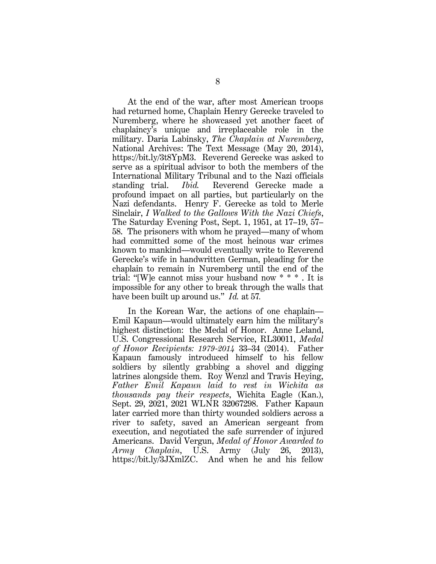At the end of the war, after most American troops had returned home, Chaplain Henry Gerecke traveled to Nuremberg, where he showcased yet another facet of chaplaincy's unique and irreplaceable role in the military. Daria Labinsky, *The Chaplain at Nuremberg*, National Archives: The Text Message (May 20, 2014), https://bit.ly/3t8YpM3. Reverend Gerecke was asked to serve as a spiritual advisor to both the members of the International Military Tribunal and to the Nazi officials standing trial. *Ibid.* Reverend Gerecke made a profound impact on all parties, but particularly on the Nazi defendants. Henry F. Gerecke as told to Merle Sinclair, *I Walked to the Gallows With the Nazi Chiefs*, The Saturday Evening Post, Sept. 1, 1951, at 17–19, 57– 58. The prisoners with whom he prayed—many of whom had committed some of the most heinous war crimes known to mankind—would eventually write to Reverend Gerecke's wife in handwritten German, pleading for the chaplain to remain in Nuremberg until the end of the trial: "[W]e cannot miss your husband now \* \* \* . It is impossible for any other to break through the walls that have been built up around us." *Id.* at 57*.*

In the Korean War, the actions of one chaplain— Emil Kapaun—would ultimately earn him the military's highest distinction: the Medal of Honor. Anne Leland, U.S. Congressional Research Service, RL30011, *Medal of Honor Recipients: 1979-2014* 33–34 (2014). Father Kapaun famously introduced himself to his fellow soldiers by silently grabbing a shovel and digging latrines alongside them. Roy Wenzl and Travis Heying, *Father Emil Kapaun laid to rest in Wichita as thousands pay their respects*, Wichita Eagle (Kan.), Sept. 29, 2021, 2021 WLNR 32067298. Father Kapaun later carried more than thirty wounded soldiers across a river to safety, saved an American sergeant from execution, and negotiated the safe surrender of injured Americans. David Vergun, *Medal of Honor Awarded to Army Chaplain*, U.S. Army (July 26, 2013), https://bit.ly/3JXmlZC. And when he and his fellow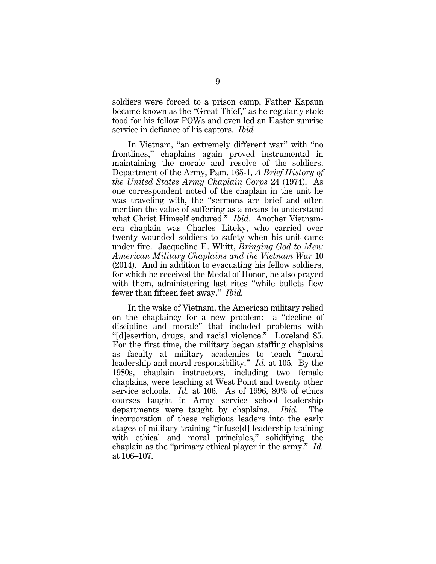soldiers were forced to a prison camp, Father Kapaun became known as the "Great Thief," as he regularly stole food for his fellow POWs and even led an Easter sunrise service in defiance of his captors. *Ibid.*

In Vietnam, "an extremely different war" with "no frontlines," chaplains again proved instrumental in maintaining the morale and resolve of the soldiers. Department of the Army, Pam. 165-1, *A Brief History of the United States Army Chaplain Corps* 24 (1974). As one correspondent noted of the chaplain in the unit he was traveling with, the "sermons are brief and often mention the value of suffering as a means to understand what Christ Himself endured." *Ibid.* Another Vietnamera chaplain was Charles Liteky, who carried over twenty wounded soldiers to safety when his unit came under fire. Jacqueline E. Whitt, *Bringing God to Men: American Military Chaplains and the Vietnam War* 10 (2014). And in addition to evacuating his fellow soldiers, for which he received the Medal of Honor, he also prayed with them, administering last rites "while bullets flew fewer than fifteen feet away." *Ibid.*

In the wake of Vietnam, the American military relied on the chaplaincy for a new problem: a "decline of discipline and morale" that included problems with "[d]esertion, drugs, and racial violence." Loveland 85. For the first time, the military began staffing chaplains as faculty at military academies to teach "moral leadership and moral responsibility." *Id.* at 105. By the 1980s, chaplain instructors, including two female chaplains, were teaching at West Point and twenty other service schools. *Id.* at 106. As of 1996, 80% of ethics courses taught in Army service school leadership departments were taught by chaplains. *Ibid.* The incorporation of these religious leaders into the early stages of military training "infuse[d] leadership training with ethical and moral principles," solidifying the chaplain as the "primary ethical player in the army." *Id.* at 106–107.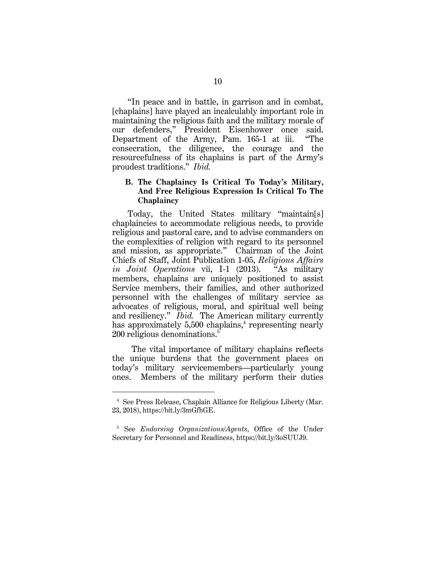"In peace and in battle, in garrison and in combat, [chaplains] have played an incalculably important role in maintaining the religious faith and the military morale of our defenders," President Eisenhower once said. Department of the Army, Pam. 165-1 at iii. "The consecration, the diligence, the courage and the resourcefulness of its chaplains is part of the Army's proudest traditions." *Ibid.*

# **B. The Chaplaincy Is Critical To Today's Military, And Free Religious Expression Is Critical To The Chaplaincy**

Today, the United States military "maintain[s] chaplaincies to accommodate religious needs, to provide religious and pastoral care, and to advise commanders on the complexities of religion with regard to its personnel and mission, as appropriate." Chairman of the Joint Chiefs of Staff, Joint Publication 1-05, *Religious Affairs in Joint Operations* vii, I-1 (2013). "As military members, chaplains are uniquely positioned to assist Service members, their families, and other authorized personnel with the challenges of military service as advocates of religious, moral, and spiritual well being and resiliency." *Ibid.* The American military currently has approximately 5,500 chaplains,<sup>4</sup> representing nearly 200 religious denominations.<sup>5</sup>

The vital importance of military chaplains reflects the unique burdens that the government places on today's military servicemembers—particularly young ones. Members of the military perform their duties

<sup>4</sup> See Press Release, Chaplain Alliance for Religious Liberty (Mar. 23, 2018), https://bit.ly/3mGfhGE.

<sup>5</sup> See *Endorsing Organizations/Agents*, Office of the Under Secretary for Personnel and Readiness, https://bit.ly/3oSUUJ9.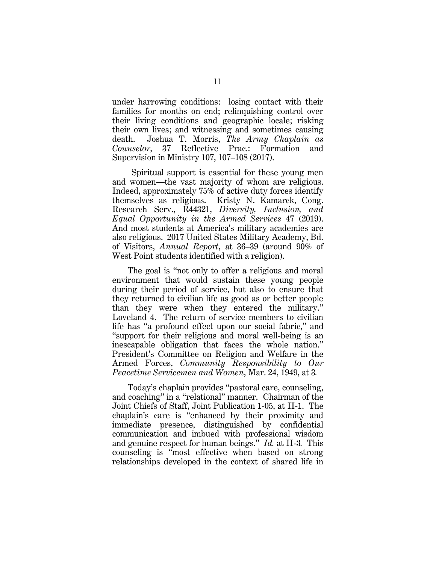under harrowing conditions: losing contact with their families for months on end; relinquishing control over their living conditions and geographic locale; risking their own lives; and witnessing and sometimes causing death. Joshua T. Morris, *The Army Chaplain as Counselor*, 37 Reflective Prac.: Formation and Supervision in Ministry 107, 107–108 (2017).

Spiritual support is essential for these young men and women—the vast majority of whom are religious. Indeed, approximately 75% of active duty forces identify themselves as religious. Kristy N. Kamarck, Cong. Research Serv., R44321, *Diversity, Inclusion, and Equal Opportunity in the Armed Services* 47 (2019). And most students at America's military academies are also religious. 2017 United States Military Academy, Bd. of Visitors, *Annual Report*, at 36–39 (around 90% of West Point students identified with a religion).

The goal is "not only to offer a religious and moral environment that would sustain these young people during their period of service, but also to ensure that they returned to civilian life as good as or better people than they were when they entered the military." Loveland 4. The return of service members to civilian life has "a profound effect upon our social fabric," and "support for their religious and moral well-being is an inescapable obligation that faces the whole nation." President's Committee on Religion and Welfare in the Armed Forces, *Community Responsibility to Our Peacetime Servicemen and Women*, Mar. 24, 1949, at 3*.*

Today's chaplain provides "pastoral care, counseling, and coaching" in a "relational" manner. Chairman of the Joint Chiefs of Staff, Joint Publication 1-05, at II-1. The chaplain's care is "enhanced by their proximity and immediate presence, distinguished by confidential communication and imbued with professional wisdom and genuine respect for human beings." *Id.* at II-3*.* This counseling is "most effective when based on strong relationships developed in the context of shared life in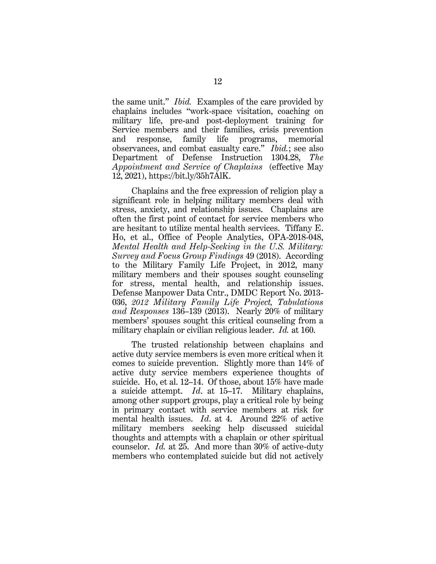the same unit." *Ibid.* Examples of the care provided by chaplains includes "work-space visitation, coaching on military life, pre-and post-deployment training for Service members and their families, crisis prevention and response, family life programs, memorial observances, and combat casualty care." *Ibid.*; see also Department of Defense Instruction 1304.28, *The Appointment and Service of Chaplains* (effective May 12, 2021), https://bit.ly/35h7AlK.

Chaplains and the free expression of religion play a significant role in helping military members deal with stress, anxiety, and relationship issues. Chaplains are often the first point of contact for service members who are hesitant to utilize mental health services. Tiffany E. Ho, et al., Office of People Analytics, OPA-2018-048, *Mental Health and Help-Seeking in the U.S. Military: Survey and Focus Group Findings* 49 (2018). According to the Military Family Life Project, in 2012, many military members and their spouses sought counseling for stress, mental health, and relationship issues. Defense Manpower Data Cntr., DMDC Report No. 2013- 036, *2012 Military Family Life Project, Tabulations and Responses* 136–139 (2013). Nearly 20% of military members' spouses sought this critical counseling from a military chaplain or civilian religious leader. *Id.* at 160.

The trusted relationship between chaplains and active duty service members is even more critical when it comes to suicide prevention. Slightly more than 14% of active duty service members experience thoughts of suicide. Ho, et al. 12–14. Of those, about 15% have made a suicide attempt. *Id*. at 15–17. Military chaplains, among other support groups, play a critical role by being in primary contact with service members at risk for mental health issues. *Id*. at 4. Around 22% of active military members seeking help discussed suicidal thoughts and attempts with a chaplain or other spiritual counselor. *Id.* at 25. And more than 30% of active-duty members who contemplated suicide but did not actively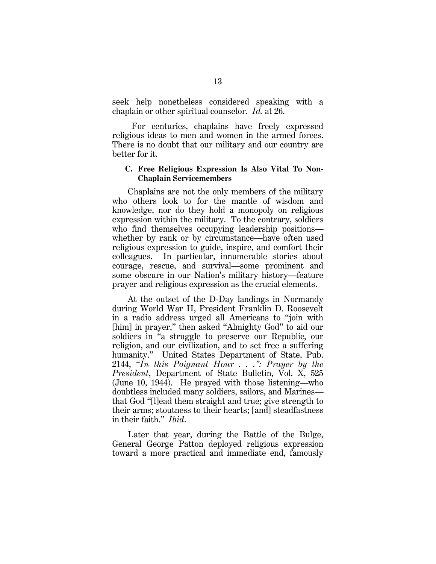seek help nonetheless considered speaking with a chaplain or other spiritual counselor. *Id.* at 26.

For centuries, chaplains have freely expressed religious ideas to men and women in the armed forces. There is no doubt that our military and our country are better for it.

#### **C. Free Religious Expression Is Also Vital To Non-Chaplain Servicemembers**

Chaplains are not the only members of the military who others look to for the mantle of wisdom and knowledge, nor do they hold a monopoly on religious expression within the military. To the contrary, soldiers who find themselves occupying leadership positions whether by rank or by circumstance—have often used religious expression to guide, inspire, and comfort their colleagues. In particular, innumerable stories about courage, rescue, and survival—some prominent and some obscure in our Nation's military history—feature prayer and religious expression as the crucial elements.

At the outset of the D-Day landings in Normandy during World War II, President Franklin D. Roosevelt in a radio address urged all Americans to "join with [him] in prayer," then asked "Almighty God" to aid our soldiers in "a struggle to preserve our Republic, our religion, and our civilization, and to set free a suffering humanity." United States Department of State, Pub. 2144, "*In this Poignant Hour . . .": Prayer by the President*, Department of State Bulletin, Vol. X, 525 (June 10, 1944). He prayed with those listening—who doubtless included many soldiers, sailors, and Marines that God "[l]ead them straight and true; give strength to their arms; stoutness to their hearts; [and] steadfastness in their faith." *Ibid*.

Later that year, during the Battle of the Bulge, General George Patton deployed religious expression toward a more practical and immediate end, famously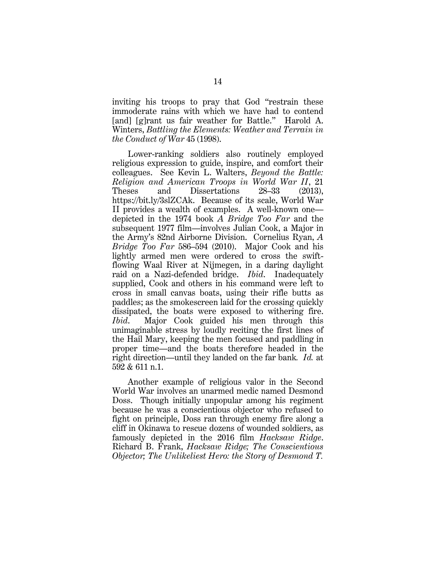inviting his troops to pray that God "restrain these immoderate rains with which we have had to contend [and] [g]rant us fair weather for Battle." Harold A. Winters, *Battling the Elements: Weather and Terrain in the Conduct of War* 45 (1998).

Lower-ranking soldiers also routinely employed religious expression to guide, inspire, and comfort their colleagues. See Kevin L. Walters, *Beyond the Battle: Religion and American Troops in World War II*, 21 Theses and Dissertations 28–33 (2013), https://bit.ly/3slZCAk. Because of its scale, World War II provides a wealth of examples. A well-known one depicted in the 1974 book *A Bridge Too Far* and the subsequent 1977 film—involves Julian Cook, a Major in the Army's 82nd Airborne Division. Cornelius Ryan, *A Bridge Too Far* 586–594 (2010). Major Cook and his lightly armed men were ordered to cross the swiftflowing Waal River at Nijmegen, in a daring daylight raid on a Nazi-defended bridge. *Ibid*. Inadequately supplied, Cook and others in his command were left to cross in small canvas boats, using their rifle butts as paddles; as the smokescreen laid for the crossing quickly dissipated, the boats were exposed to withering fire. *Ibid*. Major Cook guided his men through this unimaginable stress by loudly reciting the first lines of the Hail Mary, keeping the men focused and paddling in proper time—and the boats therefore headed in the right direction—until they landed on the far bank*. Id.* at 592 & 611 n.1.

Another example of religious valor in the Second World War involves an unarmed medic named Desmond Doss. Though initially unpopular among his regiment because he was a conscientious objector who refused to fight on principle, Doss ran through enemy fire along a cliff in Okinawa to rescue dozens of wounded soldiers, as famously depicted in the 2016 film *Hacksaw Ridge*. Richard B. Frank, *Hacksaw Ridge; The Conscientious Objector; The Unlikeliest Hero: the Story of Desmond T.*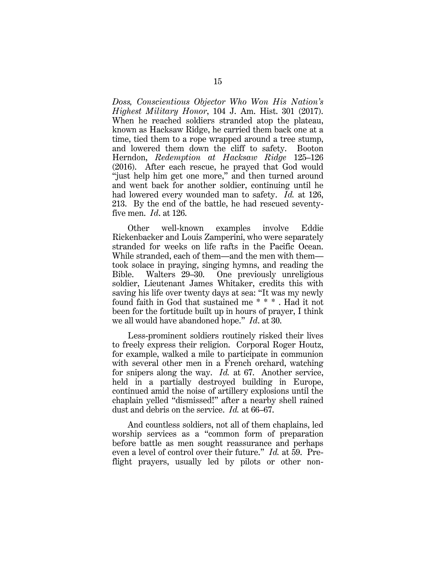*Doss, Conscientious Objector Who Won His Nation's Highest Military Honor*, 104 J. Am. Hist. 301 (2017). When he reached soldiers stranded atop the plateau, known as Hacksaw Ridge, he carried them back one at a time, tied them to a rope wrapped around a tree stump, and lowered them down the cliff to safety. Booton Herndon, *Redemption at Hacksaw Ridge* 125–126 (2016). After each rescue, he prayed that God would "just help him get one more," and then turned around and went back for another soldier, continuing until he had lowered every wounded man to safety. *Id.* at 126, 213. By the end of the battle, he had rescued seventyfive men. *Id*. at 126.

Other well-known examples involve Eddie Rickenbacker and Louis Zamperini, who were separately stranded for weeks on life rafts in the Pacific Ocean. While stranded, each of them—and the men with them took solace in praying, singing hymns, and reading the Bible. Walters 29–30. One previously unreligious soldier, Lieutenant James Whitaker, credits this with saving his life over twenty days at sea: "It was my newly found faith in God that sustained me \* \* \* . Had it not been for the fortitude built up in hours of prayer, I think we all would have abandoned hope." *Id*. at 30.

Less-prominent soldiers routinely risked their lives to freely express their religion. Corporal Roger Houtz, for example, walked a mile to participate in communion with several other men in a French orchard, watching for snipers along the way. *Id.* at 67. Another service, held in a partially destroyed building in Europe, continued amid the noise of artillery explosions until the chaplain yelled "dismissed!" after a nearby shell rained dust and debris on the service. *Id.* at 66–67.

And countless soldiers, not all of them chaplains, led worship services as a "common form of preparation before battle as men sought reassurance and perhaps even a level of control over their future." *Id.* at 59. Preflight prayers, usually led by pilots or other non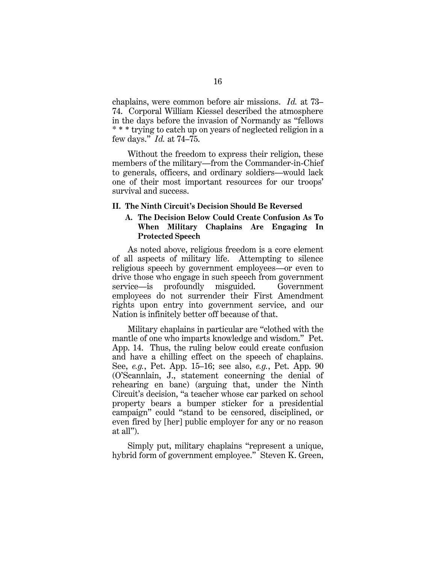chaplains, were common before air missions. *Id.* at 73– 74. Corporal William Kiessel described the atmosphere in the days before the invasion of Normandy as "fellows \* \* \* trying to catch up on years of neglected religion in a few days." *Id.* at 74–75.

Without the freedom to express their religion, these members of the military—from the Commander-in-Chief to generals, officers, and ordinary soldiers—would lack one of their most important resources for our troops' survival and success.

#### **II. The Ninth Circuit's Decision Should Be Reversed**

# **A. The Decision Below Could Create Confusion As To When Military Chaplains Are Engaging In Protected Speech**

As noted above, religious freedom is a core element of all aspects of military life. Attempting to silence religious speech by government employees—or even to drive those who engage in such speech from government service—is profoundly misguided. Government employees do not surrender their First Amendment rights upon entry into government service, and our Nation is infinitely better off because of that.

Military chaplains in particular are "clothed with the mantle of one who imparts knowledge and wisdom." Pet. App. 14. Thus, the ruling below could create confusion and have a chilling effect on the speech of chaplains. See, *e.g.*, Pet. App. 15–16; see also, *e.g.*, Pet. App. 90 (O'Scannlain, J., statement concerning the denial of rehearing en banc) (arguing that, under the Ninth Circuit's decision, "a teacher whose car parked on school property bears a bumper sticker for a presidential campaign" could "stand to be censored, disciplined, or even fired by [her] public employer for any or no reason at all").

Simply put, military chaplains "represent a unique, hybrid form of government employee." Steven K. Green,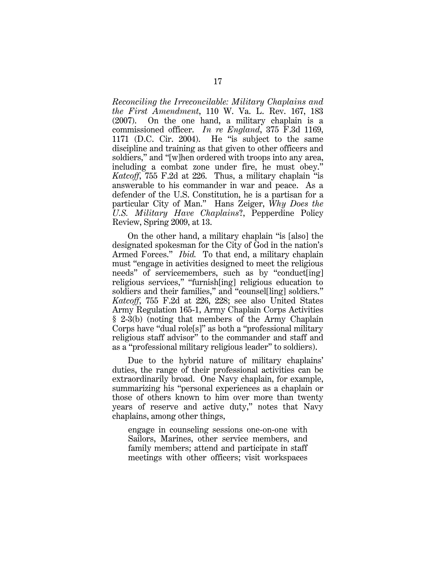*Reconciling the Irreconcilable: Military Chaplains and the First Amendment*, 110 W. Va. L. Rev. 167, 183 (2007). On the one hand, a military chaplain is a commissioned officer. *In re England*, 375 F.3d 1169, 1171 (D.C. Cir. 2004). He "is subject to the same discipline and training as that given to other officers and soldiers," and "[w]hen ordered with troops into any area, including a combat zone under fire, he must obey." *Katcoff*, 755 F.2d at 226. Thus, a military chaplain "is answerable to his commander in war and peace. As a defender of the U.S. Constitution, he is a partisan for a particular City of Man." Hans Zeiger, *Why Does the U.S. Military Have Chaplains*?, Pepperdine Policy Review, Spring 2009, at 13.

On the other hand, a military chaplain "is [also] the designated spokesman for the City of God in the nation's Armed Forces." *Ibid.* To that end, a military chaplain must "engage in activities designed to meet the religious needs" of servicemembers, such as by "conduct[ing] religious services," "furnish[ing] religious education to soldiers and their families," and "counsellarling] soldiers." *Katcoff*, 755 F.2d at 226, 228; see also United States Army Regulation 165-1, Army Chaplain Corps Activities § 2-3(b) (noting that members of the Army Chaplain Corps have "dual role[s]" as both a "professional military religious staff advisor" to the commander and staff and as a "professional military religious leader" to soldiers).

Due to the hybrid nature of military chaplains' duties, the range of their professional activities can be extraordinarily broad. One Navy chaplain, for example, summarizing his "personal experiences as a chaplain or those of others known to him over more than twenty years of reserve and active duty," notes that Navy chaplains, among other things,

engage in counseling sessions one-on-one with Sailors, Marines, other service members, and family members; attend and participate in staff meetings with other officers; visit workspaces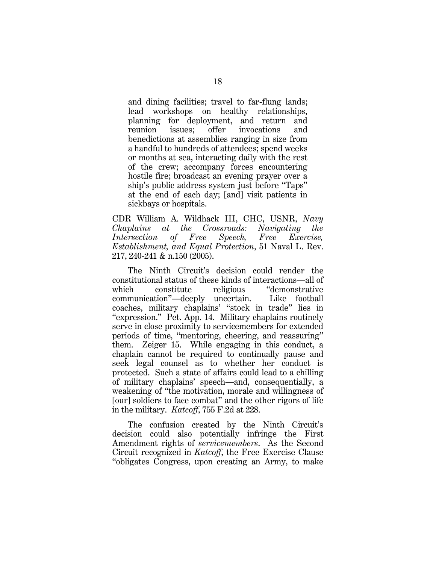and dining facilities; travel to far-flung lands; lead workshops on healthy relationships, planning for deployment, and return and reunion issues; offer invocations and benedictions at assemblies ranging in size from a handful to hundreds of attendees; spend weeks or months at sea, interacting daily with the rest of the crew; accompany forces encountering hostile fire; broadcast an evening prayer over a ship's public address system just before "Taps" at the end of each day; [and] visit patients in sickbays or hospitals.

CDR William A. Wildhack III, CHC, USNR, *Navy Chaplains at the Crossroads: Navigating the Intersection of Free Speech, Free Exercise, Establishment, and Equal Protection*, 51 Naval L. Rev. 217, 240-241 & n.150 (2005).

The Ninth Circuit's decision could render the constitutional status of these kinds of interactions—all of which constitute religious "demonstrative communication"—deeply uncertain. Like football coaches, military chaplains' "stock in trade" lies in "expression." Pet. App. 14. Military chaplains routinely serve in close proximity to servicemembers for extended periods of time, "mentoring, cheering, and reassuring" them. Zeiger 15. While engaging in this conduct, a chaplain cannot be required to continually pause and seek legal counsel as to whether her conduct is protected. Such a state of affairs could lead to a chilling of military chaplains' speech—and, consequentially, a weakening of "the motivation, morale and willingness of [our] soldiers to face combat" and the other rigors of life in the military. *Katcoff*, 755 F.2d at 228.

The confusion created by the Ninth Circuit's decision could also potentially infringe the First Amendment rights of *servicemembers*. As the Second Circuit recognized in *Katcoff*, the Free Exercise Clause "obligates Congress, upon creating an Army, to make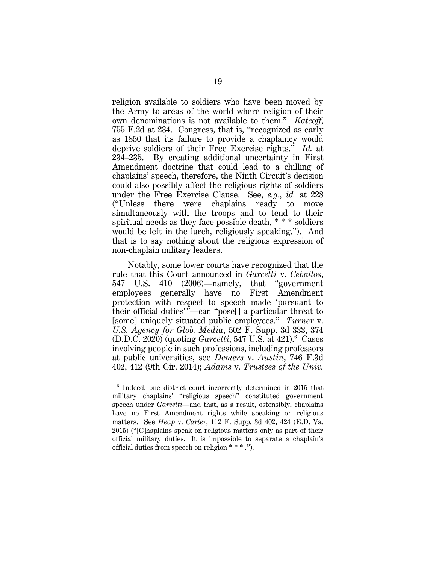religion available to soldiers who have been moved by the Army to areas of the world where religion of their own denominations is not available to them." *Katcoff*, 755 F.2d at 234. Congress, that is, "recognized as early as 1850 that its failure to provide a chaplaincy would deprive soldiers of their Free Exercise rights." *Id.* at 234–235. By creating additional uncertainty in First Amendment doctrine that could lead to a chilling of chaplains' speech, therefore, the Ninth Circuit's decision could also possibly affect the religious rights of soldiers under the Free Exercise Clause. See, *e.g.*, *id.* at 228 ("Unless there were chaplains ready to move simultaneously with the troops and to tend to their spiritual needs as they face possible death, \* \* \* soldiers would be left in the lurch, religiously speaking."). And that is to say nothing about the religious expression of non-chaplain military leaders.

Notably, some lower courts have recognized that the rule that this Court announced in *Garcetti* v. *Ceballos*, 547 U.S. 410 (2006)—namely, that "government employees generally have no First Amendment protection with respect to speech made 'pursuant to their official duties'"—can "pose[] a particular threat to [some] uniquely situated public employees." *Turner* v. *U.S. Agency for Glob. Media*, 502 F. Supp. 3d 333, 374 (D.D.C. 2020) (quoting *Garcetti*, 547 U.S. at 421).<sup>6</sup> Cases involving people in such professions, including professors at public universities, see *Demers* v. *Austin*, 746 F.3d 402, 412 (9th Cir. 2014); *Adams* v. *Trustees of the Univ.* 

<sup>6</sup> Indeed, one district court incorrectly determined in 2015 that military chaplains' "religious speech" constituted government speech under *Garcetti*—and that, as a result, ostensibly, chaplains have no First Amendment rights while speaking on religious matters. See *Heap* v. *Carter*, 112 F. Supp. 3d 402, 424 (E.D. Va. 2015) ("[C]haplains speak on religious matters only as part of their official military duties. It is impossible to separate a chaplain's official duties from speech on religion \* \* \* .").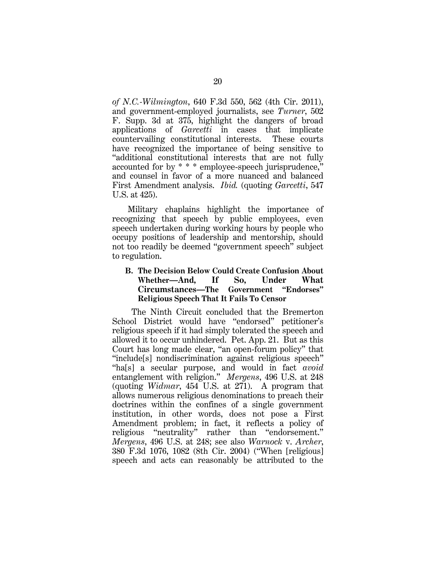*of N.C.-Wilmington*, 640 F.3d 550, 562 (4th Cir. 2011), and government-employed journalists, see *Turner*, 502 F. Supp. 3d at 375, highlight the dangers of broad applications of *Garcetti* in cases that implicate countervailing constitutional interests. These courts have recognized the importance of being sensitive to "additional constitutional interests that are not fully accounted for by \* \* \* employee-speech jurisprudence," and counsel in favor of a more nuanced and balanced First Amendment analysis. *Ibid.* (quoting *Garcetti*, 547 U.S. at 425).

Military chaplains highlight the importance of recognizing that speech by public employees, even speech undertaken during working hours by people who occupy positions of leadership and mentorship, should not too readily be deemed "government speech" subject to regulation.

# **B. The Decision Below Could Create Confusion About Whether—And, If So, Under What Circumstances—The Government "Endorses" Religious Speech That It Fails To Censor**

The Ninth Circuit concluded that the Bremerton School District would have "endorsed" petitioner's religious speech if it had simply tolerated the speech and allowed it to occur unhindered. Pet. App. 21. But as this Court has long made clear, "an open-forum policy" that "include[s] nondiscrimination against religious speech" "ha[s] a secular purpose, and would in fact *avoid* entanglement with religion." *Mergens*, 496 U.S. at 248 (quoting *Widmar*, 454 U.S. at 271). A program that allows numerous religious denominations to preach their doctrines within the confines of a single government institution, in other words, does not pose a First Amendment problem; in fact, it reflects a policy of religious "neutrality" rather than "endorsement." *Mergens*, 496 U.S. at 248; see also *Warnock* v. *Archer*, 380 F.3d 1076, 1082 (8th Cir. 2004) ("When [religious] speech and acts can reasonably be attributed to the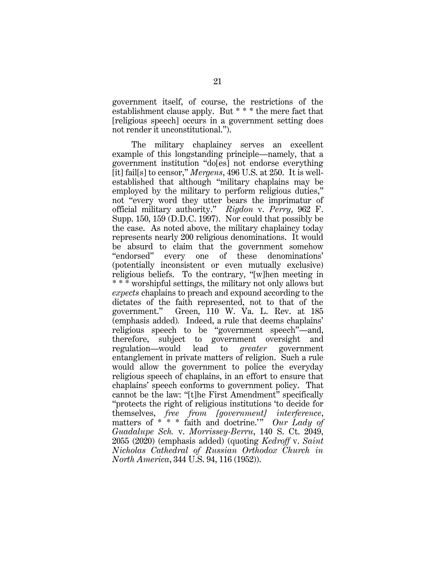government itself, of course, the restrictions of the establishment clause apply. But \* \* \* the mere fact that [religious speech] occurs in a government setting does not render it unconstitutional.").

The military chaplaincy serves an excellent example of this longstanding principle—namely, that a government institution "do[es] not endorse everything [it] fail[s] to censor," *Mergens*, 496 U.S. at 250. It is wellestablished that although "military chaplains may be employed by the military to perform religious duties," not "every word they utter bears the imprimatur of official military authority." *Rigdon* v. *Perry*, 962 F. Supp. 150, 159 (D.D.C. 1997). Nor could that possibly be the case. As noted above, the military chaplaincy today represents nearly 200 religious denominations. It would be absurd to claim that the government somehow "endorsed" every one of these denominations' (potentially inconsistent or even mutually exclusive) religious beliefs. To the contrary, "[w]hen meeting in \* \* \* worshipful settings, the military not only allows but *expects* chaplains to preach and expound according to the dictates of the faith represented, not to that of the government." Green, 110 W. Va. L. Rev. at 185 (emphasis added)*.* Indeed, a rule that deems chaplains' religious speech to be "government speech"—and, therefore, subject to government oversight and regulation—would lead to *greater* government entanglement in private matters of religion. Such a rule would allow the government to police the everyday religious speech of chaplains, in an effort to ensure that chaplains' speech conforms to government policy. That cannot be the law: "[t]he First Amendment" specifically "protects the right of religious institutions 'to decide for themselves, *free from [government] interference*, matters of \* \* \* faith and doctrine.'" *Our Lady of Guadalupe Sch.* v. *Morrissey-Berru*, 140 S. Ct. 2049, 2055 (2020) (emphasis added) (quoting *Kedroff* v. *Saint Nicholas Cathedral of Russian Orthodox Church in North America*, 344 U.S. 94, 116 (1952)).